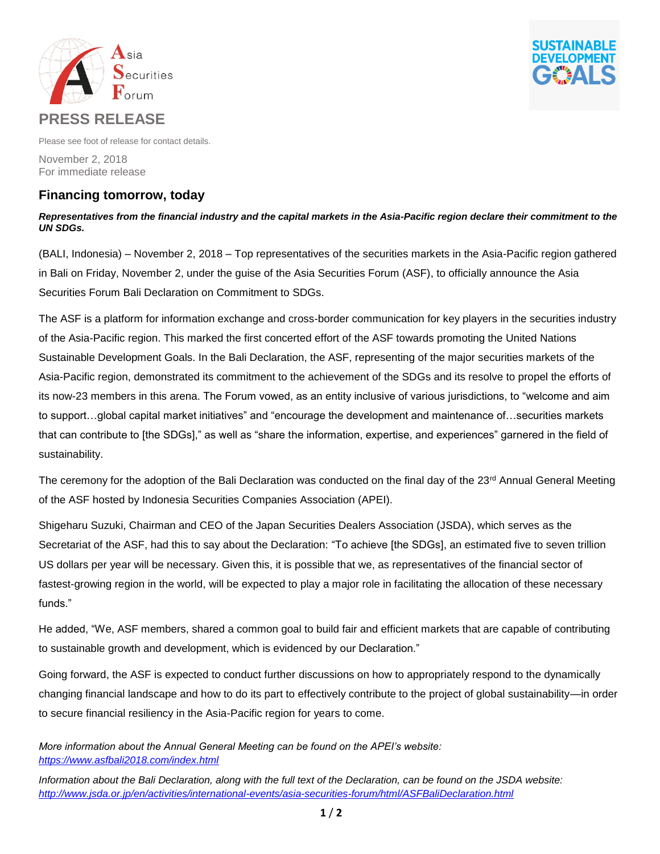



Please see foot of release for contact details.

November 2, 2018 For immediate release

# **Financing tomorrow, today**

## *Representatives from the financial industry and the capital markets in the Asia-Pacific region declare their commitment to the UN SDGs.*

(BALI, Indonesia) – November 2, 2018 – Top representatives of the securities markets in the Asia-Pacific region gathered in Bali on Friday, November 2, under the guise of the Asia Securities Forum (ASF), to officially announce the Asia Securities Forum Bali Declaration on Commitment to SDGs.

The ASF is a platform for information exchange and cross-border communication for key players in the securities industry of the Asia-Pacific region. This marked the first concerted effort of the ASF towards promoting the United Nations Sustainable Development Goals. In the Bali Declaration, the ASF, representing of the major securities markets of the Asia-Pacific region, demonstrated its commitment to the achievement of the SDGs and its resolve to propel the efforts of its now-23 members in this arena. The Forum vowed, as an entity inclusive of various jurisdictions, to "welcome and aim to support…global capital market initiatives" and "encourage the development and maintenance of…securities markets that can contribute to [the SDGs]," as well as "share the information, expertise, and experiences" garnered in the field of sustainability.

The ceremony for the adoption of the Bali Declaration was conducted on the final day of the  $23^{rd}$  Annual General Meeting of the ASF hosted by Indonesia Securities Companies Association (APEI).

Shigeharu Suzuki, Chairman and CEO of the Japan Securities Dealers Association (JSDA), which serves as the Secretariat of the ASF, had this to say about the Declaration: "To achieve [the SDGs], an estimated five to seven trillion US dollars per year will be necessary. Given this, it is possible that we, as representatives of the financial sector of fastest-growing region in the world, will be expected to play a major role in facilitating the allocation of these necessary funds."

He added, "We, ASF members, shared a common goal to build fair and efficient markets that are capable of contributing to sustainable growth and development, which is evidenced by our Declaration."

Going forward, the ASF is expected to conduct further discussions on how to appropriately respond to the dynamically changing financial landscape and how to do its part to effectively contribute to the project of global sustainability—in order to secure financial resiliency in the Asia-Pacific region for years to come.

*More information about the Annual General Meeting can be found on the APEI's website: <https://www.asfbali2018.com/index.html>*

*Information about the Bali Declaration, along with the full text of the Declaration, can be found on the JSDA website: <http://www.jsda.or.jp/en/activities/international-events/asia-securities-forum/html/ASFBaliDeclaration.html>*